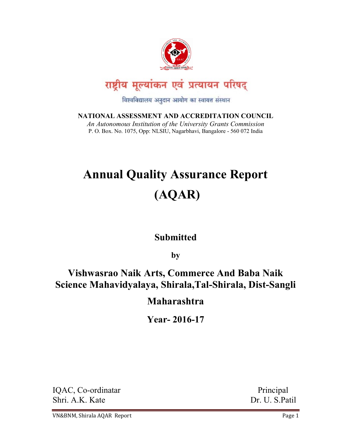

विश्वविद्यालय अनुदान आयोग का स्वायत्त संस्थान

NATIONAL ASSESSMENT AND ACCREDITATION COUNCIL An Autonomous Institution of the University Grants Commission P. O. Box. No. 1075, Opp: NLSIU, Nagarbhavi, Bangalore - 560 072 India

# Annual Quality Assurance Report (AQAR)

# **Submitted**

by

# Vishwasrao Naik Arts, Commerce And Baba Naik Science Mahavidyalaya, Shirala,Tal-Shirala, Dist-Sangli

# Maharashtra

Year- 2016-17

IQAC, Co-ordinatar Principal Shri. A.K. Kate Dr. U. S.Patil

VN&BNM, Shirala AQAR Report **Page 1** and the page 1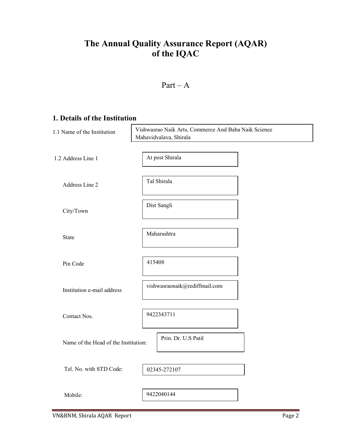# The Annual Quality Assurance Report (AQAR) of the IQAC

### $Part - A$

### 1. Details of the Institution

| 1.1 Name of the Institution          | Vishwasrao Naik Arts, Commerce And Baba Naik Science<br>Mahavidyalaya, Shirala |  |  |  |
|--------------------------------------|--------------------------------------------------------------------------------|--|--|--|
| 1.2 Address Line 1                   | At post Shirala                                                                |  |  |  |
| Address Line 2                       | Tal Shirala                                                                    |  |  |  |
| City/Town                            | Dist Sangli                                                                    |  |  |  |
| State                                | Maharashtra                                                                    |  |  |  |
| Pin Code                             | 415408                                                                         |  |  |  |
| Institution e-mail address           | vishwasraonaik@rediffmail.com                                                  |  |  |  |
| Contact Nos.                         | 9422343711                                                                     |  |  |  |
| Name of the Head of the Institution: | Prin. Dr. U.S Patil                                                            |  |  |  |
| Tel. No. with STD Code:              | 02345-272107                                                                   |  |  |  |
| Mobile:                              | 9422040144                                                                     |  |  |  |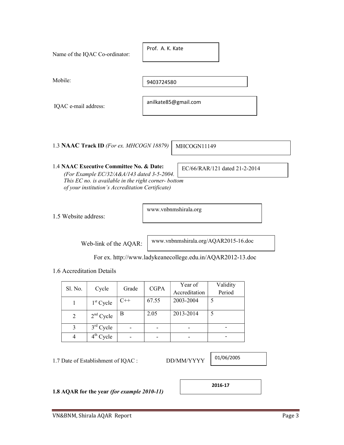| Name of the IQAC Co-ordinator:                                                                                                                  | Prof. A. K. Kate              |
|-------------------------------------------------------------------------------------------------------------------------------------------------|-------------------------------|
| Mobile:                                                                                                                                         | 9403724580                    |
| IQAC e-mail address:                                                                                                                            | anilkate85@gmail.com          |
| 1.3 NAAC Track ID (For ex. MHCOGN 18879)                                                                                                        | MHCOGN11149                   |
| 1.4 NAAC Executive Committee No. & Date:<br>(For Example EC/32/A&A/143 dated 3-5-2004.<br>This $EC$ no is available in the right corner- bottom | EC/66/RAR/121 dated 21-2-2014 |

 $\Gamma$ 

o. is available in the right corner- bottom of your institution's Accreditation Certificate)

1.5 Website address:

www.vnbnmshirala.org

Web-link of the AQAR:

www.vnbnmshirala.org/AQAR2015-16.doc

٦

For ex. http://www.ladykeanecollege.edu.in/AQAR2012-13.doc

1.6 Accreditation Details

| Sl. No. | Cycle       | <b>CGPA</b><br>Grade |       | Year of       | Validity |
|---------|-------------|----------------------|-------|---------------|----------|
|         |             |                      |       | Accreditation | Period   |
|         | $1st$ Cycle | $C++$                | 67.55 | 2003-2004     |          |
| 2       | $2nd$ Cycle | B                    | 2.05  | 2013-2014     |          |
|         | $3rd$ Cycle |                      |       |               |          |
|         | $4th$ Cycle |                      |       |               |          |

1.7 Date of Establishment of IQAC : DD/MM/YYYY

01/06/2005

1.8 AQAR for the year (for example 2010-11)

2016-17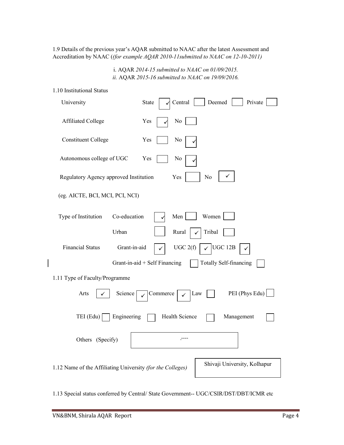1.9 Details of the previous year's AQAR submitted to NAAC after the latest Assessment and Accreditation by NAAC ((for example AQAR 2010-11submitted to NAAC on 12-10-2011)

> i. AQAR 2014-15 submitted to NAAC on 01/09/2015. ii. AQAR 2015-16 submitted to NAAC on 19/09/2016.

| 1.10 Institutional Status |  |
|---------------------------|--|
|---------------------------|--|

| University                                                 | Private<br>Deemed<br>Central<br>State                   |
|------------------------------------------------------------|---------------------------------------------------------|
| Affiliated College                                         | $\rm No$<br>Yes                                         |
| <b>Constituent College</b>                                 | Yes<br>No                                               |
| Autonomous college of UGC                                  | Yes<br>No                                               |
| Regulatory Agency approved Institution                     | $\rm No$<br>Yes                                         |
| (eg. AICTE, BCI, MCI, PCI, NCI)                            |                                                         |
| Type of Institution<br>Co-education                        | Women<br>Men                                            |
| Urban                                                      | Rural<br>Tribal                                         |
| <b>Financial Status</b><br>Grant-in-aid                    | UGC 2(f)<br>UGC 12B<br>$\checkmark$                     |
|                                                            | Grant-in-aid + Self Financing<br>Totally Self-financing |
| 1.11 Type of Faculty/Programme                             |                                                         |
| Arts<br>Science                                            | PEI (Phys Edu)<br>Commerce<br>Law                       |
| TEI (Edu)<br>Engineering                                   | Health Science<br>Management                            |
| Others (Specify)                                           | . <del></del>                                           |
| 1.12 Name of the Affiliating University (for the Colleges) | Shivaji University, Kolhapur                            |

1.13 Special status conferred by Central/ State Government-- UGC/CSIR/DST/DBT/ICMR etc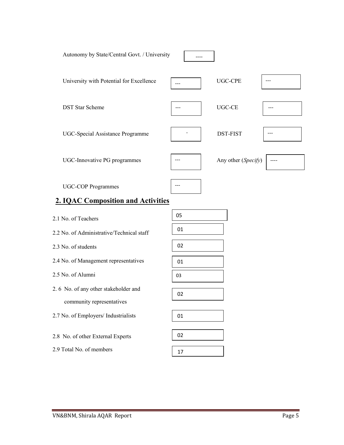

# 2. IQAC Composition and Activities

| 2.1 No. of Teachers                       | 05 |
|-------------------------------------------|----|
| 2.2 No. of Administrative/Technical staff | 01 |
| 2.3 No. of students                       | 02 |
| 2.4 No. of Management representatives     | 01 |
| 2.5 No. of Alumni                         | 03 |
| 2.6 No. of any other stakeholder and      |    |
| community representatives                 | 02 |
|                                           |    |
| 2.7 No. of Employers/ Industrialists      | 01 |
|                                           |    |
| 2.8 No. of other External Experts         | 02 |
| 2.9 Total No. of members                  | 17 |
|                                           |    |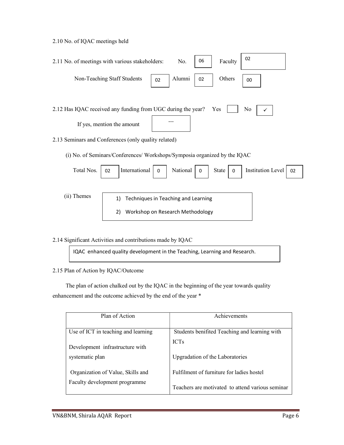2.10 No. of IQAC meetings held

| 2.11 No. of meetings with various stakeholders:                           |    | No.         | 06 | Faculty | 02 |
|---------------------------------------------------------------------------|----|-------------|----|---------|----|
| Non-Teaching Staff Students                                               | 02 | Alumni   02 |    | Others  | 00 |
|                                                                           |    |             |    |         |    |
| No<br>2.12 Has IQAC received any funding from UGC during the year?<br>Yes |    |             |    |         |    |
| If yes, mention the amount                                                |    |             |    |         |    |
| 2.13 Seminars and Conferences (only quality related)                      |    |             |    |         |    |

(i) No. of Seminars/Conferences/ Workshops/Symposia organized by the IQAC

| Total Nos.  | $\begin{array}{ c c c c c } \hline \text{o} & \text{Institution Level} & \text{O2} \\\hline \end{array}$<br> International   0   National   0   State  <br>02 |
|-------------|---------------------------------------------------------------------------------------------------------------------------------------------------------------|
| (ii) Themes | Techniques in Teaching and Learning<br>1)<br>Workshop on Research Methodology<br>2)                                                                           |

2.14 Significant Activities and contributions made by IQAC

IQAC enhanced quality development in the Teaching, Learning and Research.

2.15 Plan of Action by IQAC/Outcome

 The plan of action chalked out by the IQAC in the beginning of the year towards quality enhancement and the outcome achieved by the end of the year \*

| Plan of Action                      | Achievements                                     |  |
|-------------------------------------|--------------------------------------------------|--|
|                                     |                                                  |  |
| Use of ICT in teaching and learning | Students benifited Teaching and learning with    |  |
| Development infrastructure with     | <b>ICTs</b>                                      |  |
| systematic plan                     | Upgradation of the Laboratories                  |  |
| Organization of Value, Skills and   | Fulfilment of furniture for ladies hostel        |  |
| Faculty development programme       | Teachers are motivated to attend various seminar |  |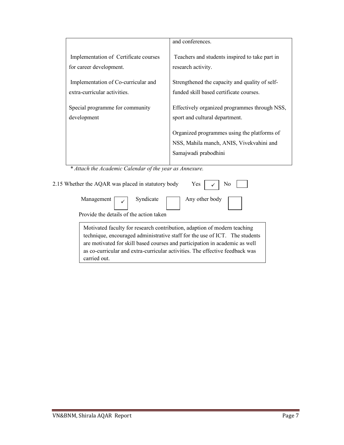|                                          | and conferences.                                                                                                |
|------------------------------------------|-----------------------------------------------------------------------------------------------------------------|
| Implementation of Certificate courses    | Teachers and students inspired to take part in                                                                  |
| for career development.                  | research activity.                                                                                              |
| Implementation of Co-curricular and      | Strengthened the capacity and quality of self-                                                                  |
| extra-curricular activities.             | funded skill based certificate courses.                                                                         |
| Special programme for community          | Effectively organized programmes through NSS,                                                                   |
| development                              | sport and cultural department.                                                                                  |
|                                          | Organized programmes using the platforms of<br>NSS, Mahila manch, ANIS, Vivekvahini and<br>Samajwadi prabodhini |
| * * * * * * * * * * * * *<br>$\sim \tau$ |                                                                                                                 |

\* Attach the Academic Calendar of the year as Annexure.

| 2.15 Whether the AQAR was placed in statutory body | Yes $\vert \checkmark$ No |
|----------------------------------------------------|---------------------------|
| Management $\boxed{\checkmark}$ Syndicate          | Any other body            |
| Provide the details of the action taken            |                           |

as co-curricular and extra-curricular activities. The effective feedback was Motivated faculty for research contribution, adaption of modern teaching technique, encouraged administrative staff for the use of ICT. The students are motivated for skill based courses and participation in academic as well carried out.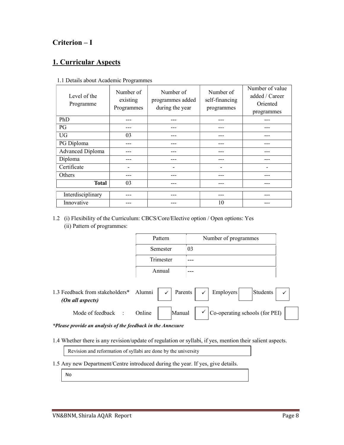### Criterion – I

### 1. Curricular Aspects

| Level of the<br>Programme | Number of<br>existing<br>Programmes | Number of<br>programmes added<br>during the year | Number of<br>self-financing<br>programmes | Number of value<br>added / Career<br>Oriented<br>programmes |
|---------------------------|-------------------------------------|--------------------------------------------------|-------------------------------------------|-------------------------------------------------------------|
| PhD                       |                                     |                                                  |                                           |                                                             |
| PG                        |                                     |                                                  |                                           |                                                             |
| <b>UG</b>                 | 03                                  |                                                  |                                           |                                                             |
| PG Diploma                |                                     |                                                  |                                           |                                                             |
| Advanced Diploma          |                                     |                                                  | ---                                       |                                                             |
| Diploma                   |                                     |                                                  |                                           |                                                             |
| Certificate               |                                     | -                                                | $\overline{\phantom{0}}$                  |                                                             |
| Others                    |                                     |                                                  | ---                                       |                                                             |
| <b>Total</b>              | 03                                  |                                                  |                                           |                                                             |
|                           |                                     |                                                  |                                           |                                                             |
| Interdisciplinary         |                                     |                                                  | ---                                       |                                                             |
| Innovative                |                                     |                                                  | 10                                        |                                                             |

#### 1.1 Details about Academic Programmes

1.2 (i) Flexibility of the Curriculum: CBCS/Core/Elective option / Open options: Yes (ii) Pattern of programmes:

| Pattern   | Number of programmes |
|-----------|----------------------|
| Semester  | 03                   |
| Trimester |                      |
| Annual    |                      |



\*Please provide an analysis of the feedback in the Annexure

1.4 Whether there is any revision/update of regulation or syllabi, if yes, mention their salient aspects.

Revision and reformation of syllabi are done by the university

1.5 Any new Department/Centre introduced during the year. If yes, give details.

No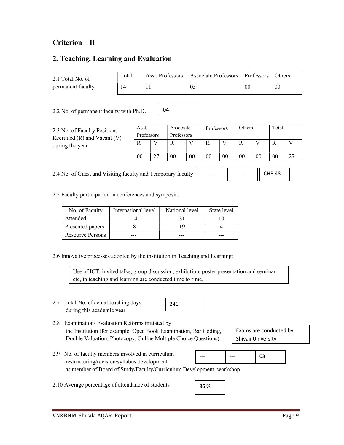### Criterion – II

### 2. Teaching, Learning and Evaluation

| 2.1 Total No. of  | Total | Asst. Professors | Associate Professors   Professors |    | <b>Others</b> |
|-------------------|-------|------------------|-----------------------------------|----|---------------|
| permanent faculty |       |                  | 03                                | 00 | 00            |

04

2.2 No. of permanent faculty with Ph.D.

2.3 No. of Faculty Positions Recruited (R) and Vacant (V) during the year

| Asst.      | Associate  |    | Professors |    | Others |    | Total |  |
|------------|------------|----|------------|----|--------|----|-------|--|
| Professors | Professors |    |            |    |        |    |       |  |
|            |            |    |            |    |        |    |       |  |
| $00\,$     | 00         | 00 | 00         | 00 | 00     | 00 |       |  |

2.4 No. of Guest and Visiting faculty and Temporary faculty --- --- CHB 48

2.5 Faculty participation in conferences and symposia:

| No. of Faculty   | International level | National level | State level |
|------------------|---------------------|----------------|-------------|
| Attended         |                     |                |             |
| Presented papers |                     | 1 Q            |             |
| Resource Persons |                     |                |             |

2.6 Innovative processes adopted by the institution in Teaching and Learning:

Use of ICT, invited talks, group discussion, exhibition, poster presentation and seminar etc, in teaching and learning are conducted time to time.

2.7 Total No. of actual teaching days during this academic year

241

2.8 Examination/ Evaluation Reforms initiated by the Institution (for example: Open Book Examination, Bar Coding, Double Valuation, Photocopy, Online Multiple Choice Questions)

Exams are conducted by Shivaji University

- 2.9 No. of faculty members involved in curriculum restructuring/revision/syllabus development as member of Board of Study/Faculty/Curriculum Development workshop 03 --- | ---
- 2.10 Average percentage of attendance of students

86 %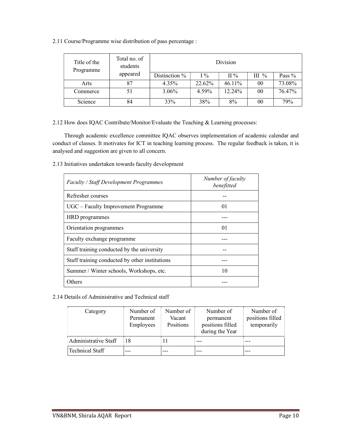2.11 Course/Programme wise distribution of pass percentage :

| Title of the<br>Programme | Total no. of<br>students |               |        | Division  |         |          |
|---------------------------|--------------------------|---------------|--------|-----------|---------|----------|
|                           | appeared                 | Distinction % | $I\%$  | $\Pi\%$   | $III$ % | Pass $%$ |
| Arts                      | 87                       | 4.35%         | 22.62% | $46.11\%$ | 00      | 73.08%   |
| Commerce                  | 51                       | 3.06%         | 4.59%  | 12.24%    | 00      | 76.47%   |
| Science                   | 84                       | 33%           | 38%    | 8%        | 00      | 79%      |

2.12 How does IQAC Contribute/Monitor/Evaluate the Teaching & Learning processes:

 Through academic excellence committee IQAC observes implementation of academic calendar and conduct of classes. It motivates for ICT in teaching learning process. The regular feedback is taken, it is analysed and suggestion are given to all concern.

2.13 Initiatives undertaken towards faculty development

| <b>Faculty / Staff Development Programmes</b>  | Number of faculty<br>benefitted |
|------------------------------------------------|---------------------------------|
| Refresher courses                              |                                 |
| UGC – Faculty Improvement Programme            | 01                              |
| HRD programmes                                 |                                 |
| Orientation programmes                         | 01                              |
| Faculty exchange programme                     |                                 |
| Staff training conducted by the university     |                                 |
| Staff training conducted by other institutions |                                 |
| Summer / Winter schools, Workshops, etc.       | 10                              |
| Others                                         |                                 |

2.14 Details of Administrative and Technical staff

| Category             | Number of<br>Permanent<br><b>Employees</b> | Number of<br>Vacant<br>Positions | Number of<br>permanent<br>positions filled<br>during the Year | Number of<br>positions filled<br>temporarily |
|----------------------|--------------------------------------------|----------------------------------|---------------------------------------------------------------|----------------------------------------------|
| Administrative Staff | 18                                         |                                  |                                                               |                                              |
| Technical Staff      |                                            |                                  |                                                               |                                              |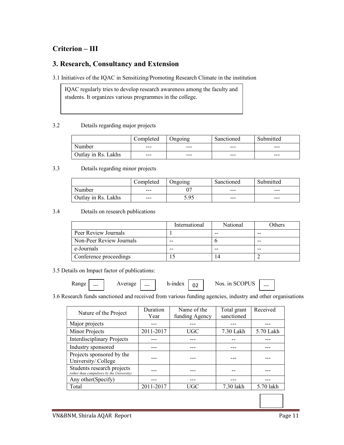### Criterion – III

### 3. Research, Consultancy and Extension

3.1 Initiatives of the IQAC in Sensitizing/Promoting Research Climate in the institution

IQAC regularly tries to develop research awareness among the faculty and students. It organizes various programmes in the college.

#### 3.2 Details regarding major projects

|                     | Completed | Ongoing | Sanctioned | Submitted |
|---------------------|-----------|---------|------------|-----------|
| Number              | $---$     | $---$   | $---$      | $---$     |
| Outlay in Rs. Lakhs | $---$     | $-- -$  | $---$      | $-- -$    |

#### 3.3 Details regarding minor projects

|                     | Completed | Ongoing | Sanctioned | Submitted |
|---------------------|-----------|---------|------------|-----------|
| Number              | $---$     |         | $---$      | $-- -$    |
| Outlay in Rs. Lakhs | $---$     | 5.95    | $---$      | $-- -$    |

3.4 Details on research publications

|                          | International | <b>National</b> | Others |
|--------------------------|---------------|-----------------|--------|
| Peer Review Journals     |               | --              | --     |
| Non-Peer Review Journals | $- -$         |                 |        |
| e-Journals               | --            |                 |        |
| Conference proceedings   |               | 14              |        |

3.5 Details on Impact factor of publications:

| - - -<br>.<br>and the control of | --- | $- - -$ | $- - -$<br>حدد<br>м<br><br> | $\sim$<br>νŽ | $T\Omega$<br>11 <sub>n</sub><br>ΩC<br>. . | $- - -$ |  |
|----------------------------------|-----|---------|-----------------------------|--------------|-------------------------------------------|---------|--|
|                                  |     |         |                             |              |                                           |         |  |

#### 3.6 Research funds sanctioned and received from various funding agencies, industry and other organisations

| Nature of the Project                                                   | Duration  | Name of the    | Total grant | Received  |
|-------------------------------------------------------------------------|-----------|----------------|-------------|-----------|
|                                                                         | Year      | funding Agency | sanctioned  |           |
| Major projects                                                          |           |                |             |           |
| Minor Projects                                                          | 2011-2017 | <b>UGC</b>     | 7.30 Lakh   | 5.70 Lakh |
| <b>Interdisciplinary Projects</b>                                       |           |                |             |           |
| Industry sponsored                                                      |           |                |             |           |
| Projects sponsored by the                                               |           |                |             |           |
| University/College                                                      |           |                |             |           |
| Students research projects<br>(other than compulsory by the University) |           |                |             |           |
| Any other (Specify)                                                     |           |                |             |           |
| Total                                                                   | 2011-2017 | <b>UGC</b>     | 7.30 lakh   | 5.70 lakh |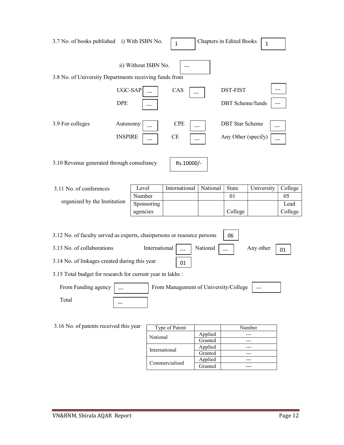| 3.7 No. of books published i) With ISBN No.                             |                            |               | $\mathbf{1}$                          | <b>Chapters in Edited Books</b> |                                               | $\mathbf{1}$ |                       |
|-------------------------------------------------------------------------|----------------------------|---------------|---------------------------------------|---------------------------------|-----------------------------------------------|--------------|-----------------------|
| 3.8 No. of University Departments receiving funds from                  | ii) Without ISBN No.       |               |                                       |                                 |                                               |              |                       |
| <b>DPE</b>                                                              | UGC-SAP                    |               | CAS                                   |                                 | DST-FIST<br>DBT Scheme/funds                  |              |                       |
| 3.9 For colleges                                                        | Autonomy<br><b>INSPIRE</b> |               | <b>CPE</b><br>CE                      |                                 | <b>DBT</b> Star Scheme<br>Any Other (specify) | ---<br>---   |                       |
| 3.10 Revenue generated through consultancy                              |                            |               | Rs.10000/-                            |                                 |                                               |              |                       |
| 3.11 No. of conferences                                                 | Level                      |               | International                         | National                        | State                                         | University   | College               |
| organized by the Institution                                            | Number<br>agencies         | Sponsoring    |                                       |                                 | 01<br>College                                 |              | 05<br>Lead<br>College |
| 3.12 No. of faculty served as experts, chairpersons or resource persons |                            |               |                                       |                                 | 06                                            |              |                       |
| 3.13 No. of collaborations                                              |                            | International | $\overline{\phantom{a}}$              | National                        |                                               | Any other    | 01                    |
| 3.14 No. of linkages created during this year                           |                            |               | 01                                    |                                 |                                               |              |                       |
| 3.15 Total budget for research for current year in lakhs :              |                            |               |                                       |                                 |                                               |              |                       |
| From Funding agency                                                     |                            |               | From Management of University/College |                                 |                                               |              |                       |
| Total                                                                   |                            |               |                                       |                                 |                                               |              |                       |
|                                                                         |                            |               |                                       |                                 |                                               |              |                       |
| 3.16 No. of patents received this year                                  |                            |               | Type of Patent                        |                                 |                                               | Number       |                       |
|                                                                         |                            | National      |                                       | Applied<br>Granted              |                                               | ---<br>---   |                       |
|                                                                         |                            | International |                                       | Applied                         |                                               | ---          |                       |
|                                                                         |                            |               |                                       | Granted                         |                                               | ---          |                       |
|                                                                         |                            |               |                                       | Applied                         |                                               | ---          |                       |

Commercialised Applied ---Applied<br>Granted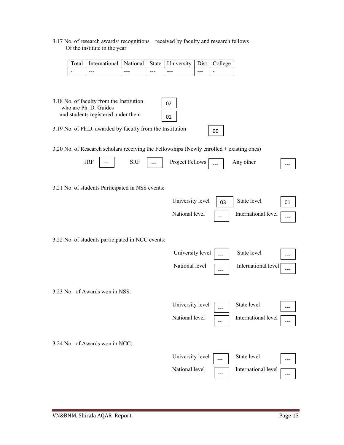#### 3.17 No. of research awards/ recognitions received by faculty and research fellows Of the institute in the year

| Total   International   National   State   University   Dist   College |         |       |       |         |  |
|------------------------------------------------------------------------|---------|-------|-------|---------|--|
| $---$                                                                  | $- - -$ | $---$ | $---$ | $- - -$ |  |

|       | 3.18 No. of faculty from the Institution<br>who are Ph. D. Guides |                                                                                                               |  |  | 02 |  |
|-------|-------------------------------------------------------------------|---------------------------------------------------------------------------------------------------------------|--|--|----|--|
|       | and students registered under them                                |                                                                                                               |  |  | 02 |  |
| 2.103 | $c_{\mathbf{D1}}$ $\mathbf{D}$                                    | $\blacksquare$ and $\blacksquare$ and $\blacksquare$ and $\blacksquare$ and $\blacksquare$ and $\blacksquare$ |  |  |    |  |

3.19 No. of Ph.D. awarded by faculty from the Institution

3.20 No. of Research scholars receiving the Fellowships (Newly enrolled + existing ones)

00

|                                                  | <b>JRF</b> | <b>SRF</b> | Project Fellows  |     | Any other           |     |
|--------------------------------------------------|------------|------------|------------------|-----|---------------------|-----|
| 3.21 No. of students Participated in NSS events: |            |            |                  |     |                     |     |
|                                                  |            |            | University level | 03  | State level         | 01  |
|                                                  |            |            | National level   |     | International level | --- |
| 3.22 No. of students participated in NCC events: |            |            |                  |     |                     |     |
|                                                  |            |            | University level |     | State level         |     |
|                                                  |            |            | National level   | --- | International level |     |
| 3.23 No. of Awards won in NSS:                   |            |            |                  |     |                     |     |
|                                                  |            |            | University level |     | State level         |     |
|                                                  |            |            | National level   |     | International level |     |
| 3.24 No. of Awards won in NCC:                   |            |            |                  |     |                     |     |
|                                                  |            |            | University level |     | State level         |     |
|                                                  |            |            | National level   |     | International level |     |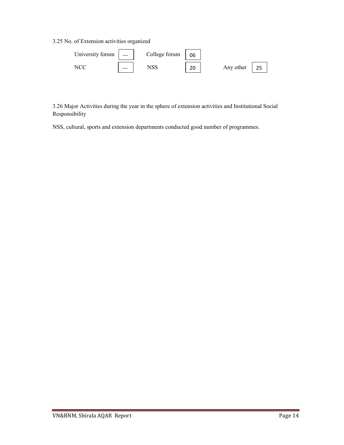3.25 No. of Extension activities organized

| University forum | $\qquad \qquad \cdots$ | College forum | 06        |           |  |
|------------------|------------------------|---------------|-----------|-----------|--|
|                  | $- - -$                |               | ົາດ<br>۷J | Any other |  |

3.26 Major Activities during the year in the sphere of extension activities and Institutional Social Responsibility

NSS, cultural, sports and extension departments conducted good number of programmes.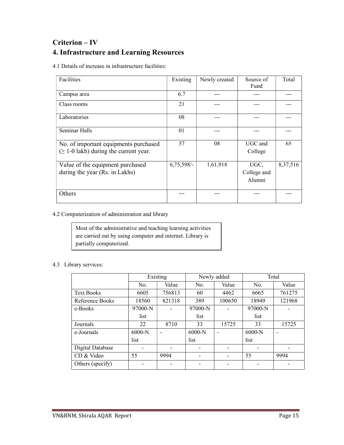### Criterion – IV 4. Infrastructure and Learning Resources

4.1 Details of increase in infrastructure facilities:

| Facilities                                  | Existing     | Newly created | Source of<br>Fund | Total    |
|---------------------------------------------|--------------|---------------|-------------------|----------|
| Campus area                                 | 6.7          |               |                   |          |
| Class rooms                                 | 21           |               |                   |          |
| Laboratories                                | 08           |               |                   |          |
| Seminar Halls                               | 01           |               |                   |          |
| No. of important equipments purchased       | 57           | 08            | UGC and           | 65       |
| $(\geq 1$ -0 lakh) during the current year. |              |               | College           |          |
| Value of the equipment purchased            | $6,75,598/-$ | 1,61,918      | UGC,              | 8,37,516 |
| during the year (Rs. in Lakhs)              |              |               | College and       |          |
|                                             |              |               | Alumni            |          |
| Others                                      |              |               |                   |          |

### 4.2 Computerization of administration and library

| Most of the administrative and teaching learning activities |
|-------------------------------------------------------------|
| are carried out by using computer and internet. Library is  |
| partially computerized.                                     |

### 4.3 Library services:

|                   |           | Existing       |          | Newly added |          | Total                    |
|-------------------|-----------|----------------|----------|-------------|----------|--------------------------|
|                   | No.       | Value          | No.      | Value       | No.      | Value                    |
| <b>Text Books</b> | 6605      | 756813         | 60       | 4462        | 6665     | 761275                   |
| Reference Books   | 18560     | 821318         | 389      | 100650      | 18949    | 121968                   |
| e-Books           | $97000-N$ |                | 97000-N  |             | 97000-N  |                          |
|                   | list      |                | list     |             | list     |                          |
| Journals          | 22        | 8710           | 33       | 15725       | 33       | 15725                    |
| e-Journals        | $6000-N$  | $\blacksquare$ | $6000-N$ |             | $6000-N$ | $\overline{\phantom{0}}$ |
|                   | list      |                | list     |             | list     |                          |
| Digital Database  |           |                |          |             |          |                          |
| CD & Video        | 55        | 9994           |          |             | 55       | 9994                     |
| Others (specify)  |           |                |          |             |          |                          |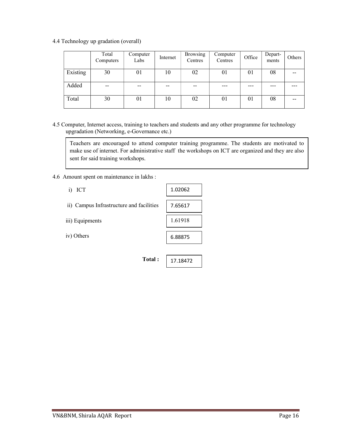4.4 Technology up gradation (overall)

|          | Total<br>Computers | Computer<br>Labs | Internet | <b>Browsing</b><br>Centres | Computer<br>Centres | Office | Depart-<br>ments | Others |
|----------|--------------------|------------------|----------|----------------------------|---------------------|--------|------------------|--------|
| Existing | 30                 | 01               | 10       | 02                         | 01                  | 01     | 08               | --     |
| Added    | $- -$              | $- -$            | --       | $- -$                      | ---                 | ---    |                  |        |
| Total    | 30                 | 01               | 10       | 02                         | 01                  | 01     | 08               | --     |

4.5 Computer, Internet access, training to teachers and students and any other programme for technology upgradation (Networking, e-Governance etc.)

Teachers are encouraged to attend computer training programme. The students are motivated to make use of internet. For administrative staff the workshops on ICT are organized and they are also sent for said training workshops.

4.6 Amount spent on maintenance in lakhs :

| ICT<br>$\mathbf{i}$                      | 1.02062  |
|------------------------------------------|----------|
| ii) Campus Infrastructure and facilities | 7.65617  |
| iii) Equipments                          | 1.61918  |
| iv) Others                               | 6.88875  |
|                                          |          |
| Total:                                   | 17.18472 |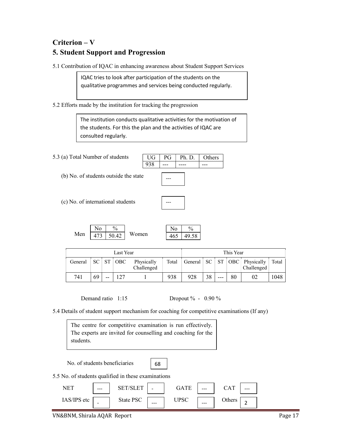### Criterion – V 5. Student Support and Progression

5.1 Contribution of IQAC in enhancing awareness about Student Support Services

IQAC tries to look after participation of the students on the qualitative programmes and services being conducted regularly.

5.2 Efforts made by the institution for tracking the progression

The institution conducts qualitative activities for the motivation of the students. For this the plan and the activities of IQAC are consulted regularly.

5.3 (a) Total Number of students

(b) No. of students outside the state



---

(c) No. of international students

Men  $473$   $50.42$  Women  $\mathrm{No}$  / % 50.42

|  | Λ |
|--|---|
|  |   |

 $UG | PG | Ph.D. | Others$  $938$  --- --- --- --

|         |    |           | Last Year  |                          |       |     |    |     | This Year |                                                    |       |
|---------|----|-----------|------------|--------------------------|-------|-----|----|-----|-----------|----------------------------------------------------|-------|
| General |    | $SC$ $ST$ | <b>OBC</b> | Physically<br>Challenged | Total |     |    |     |           | General   SC   ST   OBC   Physically<br>Challenged | Total |
| 741     | 69 | --        | 127        |                          | 938   | 928 | 38 | --- | 80        | 02                                                 | 1048  |

Demand ratio 1:15 Dropout % - 0.90 %

5.4 Details of student support mechanism for coaching for competitive examinations (If any)

|           | The centre for competitive examination is run effectively.   |  |
|-----------|--------------------------------------------------------------|--|
|           | The experts are invited for counselling and coaching for the |  |
| students. |                                                              |  |

No. of students beneficiaries

68

5.5 No. of students qualified in these examinations

| <b>NET</b><br>. | $---$                    | <b>DD</b> | $\overline{\phantom{0}}$ | GΑ            | $\qquad \qquad \cdots$ | $\mathbf{\tau}$<br>$\mathcal{L}$ 1 | $---$ |
|-----------------|--------------------------|-----------|--------------------------|---------------|------------------------|------------------------------------|-------|
| IAS/IPS etc     | $\overline{\phantom{0}}$ | State PSC | $---$                    | IDSC<br>UI DU | $\qquad \qquad \cdots$ | $\alpha_{\rm th}$<br>ັບເມບເວ       | -     |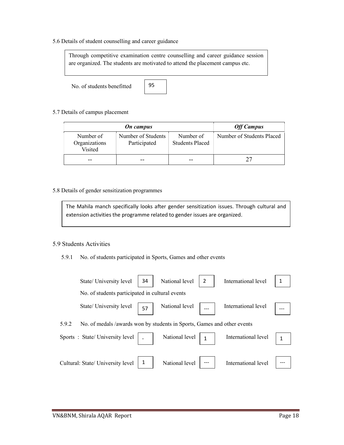5.6 Details of student counselling and career guidance

Through competitive examination centre counselling and career guidance session are organized. The students are motivated to attend the placement campus etc.

No. of students benefitted

95

5.7 Details of campus placement

|                                       | <b>Off Campus</b>                  |                                     |                           |
|---------------------------------------|------------------------------------|-------------------------------------|---------------------------|
| Number of<br>Organizations<br>Visited | Number of Students<br>Participated | Number of<br><b>Students Placed</b> | Number of Students Placed |
|                                       |                                    |                                     |                           |

#### 5.8 Details of gender sensitization programmes

The Mahila manch specifically looks after gender sensitization issues. Through cultural and extension activities the programme related to gender issues are organized.

#### 5.9 Students Activities

5.9.1 No. of students participated in Sports, Games and other events

| State/ University level                                        | 34                                                                      | National level             | International level |  |
|----------------------------------------------------------------|-------------------------------------------------------------------------|----------------------------|---------------------|--|
|                                                                | No. of students participated in cultural events                         |                            |                     |  |
|                                                                | State/University level $\sqrt{57}$                                      | National level $\Big $ --- | International level |  |
| 5.9.2                                                          | No. of medals /awards won by students in Sports, Games and other events |                            |                     |  |
| Sports : State/University level   $\vert$   National level   1 |                                                                         |                            | International level |  |
| Cultural: State/ University level   1                          |                                                                         | National level $\vert$ --- | International level |  |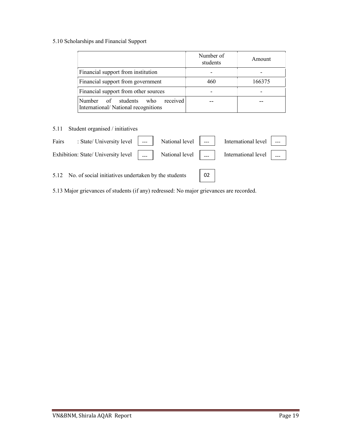### 5.10 Scholarships and Financial Support

|                                                                              | Number of<br>students | Amount |
|------------------------------------------------------------------------------|-----------------------|--------|
| Financial support from institution                                           |                       |        |
| Financial support from government                                            | 460                   | 166375 |
| Financial support from other sources                                         |                       |        |
| received<br>Number of students<br>who<br>International/National recognitions |                       |        |

### 5.11 Student organised / initiatives

| Fairs | : State/ University level $\Big $ --- $\Big $ National level $\Big $ --- $\Big $ International level $\Big $ --- $\Big $ |  |  |  |
|-------|--------------------------------------------------------------------------------------------------------------------------|--|--|--|
|       | Exhibition: State/ University level      National level      International level                                         |  |  |  |
|       | 5.12 No. of social initiatives undertaken by the students   02                                                           |  |  |  |

5.13 Major grievances of students (if any) redressed: No major grievances are recorded.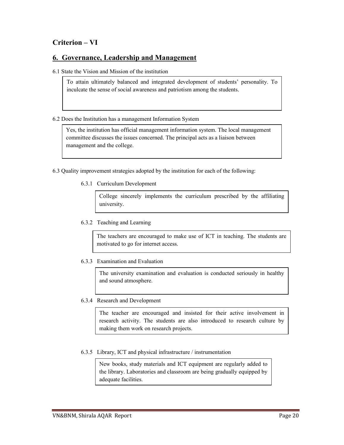### Criterion – VI

### 6. Governance, Leadership and Management

6.1 State the Vision and Mission of the institution

To attain ultimately balanced and integrated development of students' personality. To inculcate the sense of social awareness and patriotism among the students.

#### 6.2 Does the Institution has a management Information System

Yes, the institution has official management information system. The local management committee discusses the issues concerned. The principal acts as a liaison between management and the college.

- 6.3 Quality improvement strategies adopted by the institution for each of the following:
	- 6.3.1 Curriculum Development

College sincerely implements the curriculum prescribed by the affiliating university.

6.3.2 Teaching and Learning

The teachers are encouraged to make use of ICT in teaching. The students are motivated to go for internet access.

6.3.3 Examination and Evaluation

The university examination and evaluation is conducted seriously in healthy and sound atmosphere.

6.3.4 Research and Development

The teacher are encouraged and insisted for their active involvement in research activity. The students are also introduced to research culture by making them work on research projects.

6.3.5 Library, ICT and physical infrastructure / instrumentation

New books, study materials and ICT equipment are regularly added to the library. Laboratories and classroom are being gradually equipped by adequate facilities.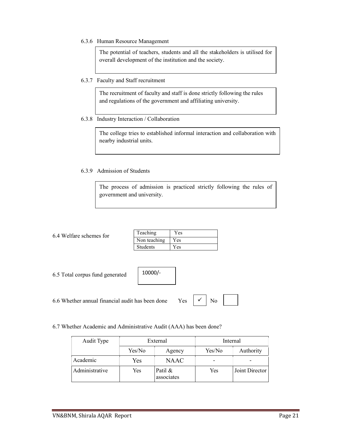6.3.6 Human Resource Management

The potential of teachers, students and all the stakeholders is utilised for overall development of the institution and the society.

6.3.7 Faculty and Staff recruitment

The recruitment of faculty and staff is done strictly following the rules and regulations of the government and affiliating university.

6.3.8 Industry Interaction / Collaboration

The college tries to established informal interaction and collaboration with nearby industrial units.

#### 6.3.9 Admission of Students

The process of admission is practiced strictly following the rules of government and university.

| 6.4 Welfare schemes for |  |
|-------------------------|--|
|                         |  |
|                         |  |

| Teaching        | Yes |
|-----------------|-----|
| Non teaching    | Yes |
| <b>Students</b> | Yes |

6.5 Total corpus fund generated

6.6 Whether annual financial audit has been done Yes  $\vert \checkmark \vert$  No  $\checkmark$ 

10000/-

6.7 Whether Academic and Administrative Audit (AAA) has been done?

| Audit Type     | External |                       | Internal |                |
|----------------|----------|-----------------------|----------|----------------|
|                | Yes/No   | Agency                | Yes/No   | Authority      |
| Academic       | Yes      | <b>NAAC</b>           |          |                |
| Administrative | Yes      | Patil &<br>associates | Yes      | Joint Director |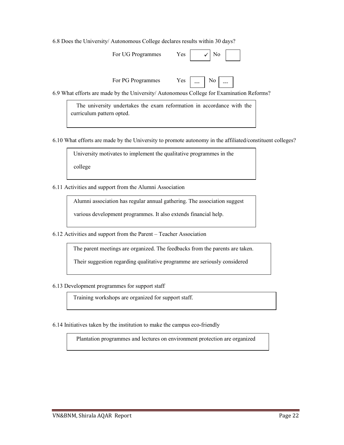6.8 Does the University/ Autonomous College declares results within 30 days?

| For UG Programmes<br>Yes. |  | $\sqrt{ }$ No |
|---------------------------|--|---------------|
|---------------------------|--|---------------|

 $\rm No$ 

For PG Programmes Yes

6.9 What efforts are made by the University/ Autonomous College for Examination Reforms?

 The university undertakes the exam reformation in accordance with the curriculum pattern opted.

6.10 What efforts are made by the University to promote autonomy in the affiliated/constituent colleges?

University motivates to implement the qualitative programmes in the

college

6.11 Activities and support from the Alumni Association

Alumni association has regular annual gathering. The association suggest

various development programmes. It also extends financial help.

6.12 Activities and support from the Parent – Teacher Association

The parent meetings are organized. The feedbacks from the parents are taken.

Their suggestion regarding qualitative programme are seriously considered

6.13 Development programmes for support staff

Training workshops are organized for support staff.

6.14 Initiatives taken by the institution to make the campus eco-friendly

Plantation programmes and lectures on environment protection are organized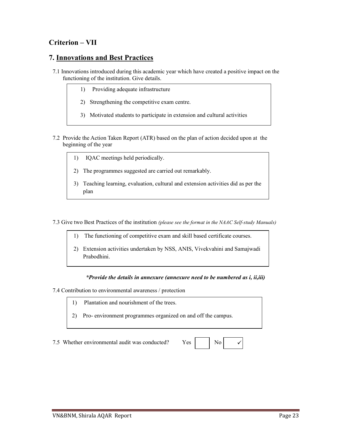### Criterion – VII

### 7. Innovations and Best Practices

- 7.1 Innovations introduced during this academic year which have created a positive impact on the functioning of the institution. Give details.
	- 1) Providing adequate infrastructure
	- 2) Strengthening the competitive exam centre.
	- 3) Motivated students to participate in extension and cultural activities
- 7.2 Provide the Action Taken Report (ATR) based on the plan of action decided upon at the beginning of the year
	- 1) IQAC meetings held periodically.
	- 2) The programmes suggested are carried out remarkably.
	- 3) Teaching learning, evaluation, cultural and extension activities did as per the plan

7.3 Give two Best Practices of the institution (please see the format in the NAAC Self-study Manuals)

- 1) The functioning of competitive exam and skill based certificate courses.
- 2) Extension activities undertaken by NSS, ANIS, Vivekvahini and Samajwadi Prabodhini.

#### \*Provide the details in annexure (annexure need to be numbered as i, ii,iii)

7.4 Contribution to environmental awareness / protection

- 1) Plantation and nourishment of the trees.
- 2) Pro- environment programmes organized on and off the campus.

7.5 Whether environmental audit was conducted? Yes

| No |  |
|----|--|
|----|--|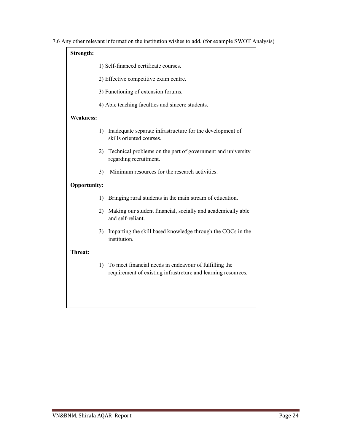7.6 Any other relevant information the institution wishes to add. (for example SWOT Analysis)

| Strength:           |                                                  |                                                                                                                         |  |  |  |  |  |
|---------------------|--------------------------------------------------|-------------------------------------------------------------------------------------------------------------------------|--|--|--|--|--|
|                     | 1) Self-financed certificate courses.            |                                                                                                                         |  |  |  |  |  |
|                     | 2) Effective competitive exam centre.            |                                                                                                                         |  |  |  |  |  |
|                     | 3) Functioning of extension forums.              |                                                                                                                         |  |  |  |  |  |
|                     | 4) Able teaching faculties and sincere students. |                                                                                                                         |  |  |  |  |  |
| <b>Weakness:</b>    |                                                  |                                                                                                                         |  |  |  |  |  |
|                     | 1)                                               | Inadequate separate infrastructure for the development of<br>skills oriented courses.                                   |  |  |  |  |  |
|                     | 2)                                               | Technical problems on the part of government and university<br>regarding recruitment.                                   |  |  |  |  |  |
|                     | 3)                                               | Minimum resources for the research activities.                                                                          |  |  |  |  |  |
| <b>Opportunity:</b> |                                                  |                                                                                                                         |  |  |  |  |  |
|                     | 1)                                               | Bringing rural students in the main stream of education.                                                                |  |  |  |  |  |
|                     | 2)                                               | Making our student financial, socially and academically able<br>and self-reliant.                                       |  |  |  |  |  |
|                     | 3)                                               | Imparting the skill based knowledge through the COCs in the<br>institution.                                             |  |  |  |  |  |
| Threat:             |                                                  |                                                                                                                         |  |  |  |  |  |
|                     | 1)                                               | To meet financial needs in endeavour of fulfilling the<br>requirement of existing infrastrcture and learning resources. |  |  |  |  |  |
|                     |                                                  |                                                                                                                         |  |  |  |  |  |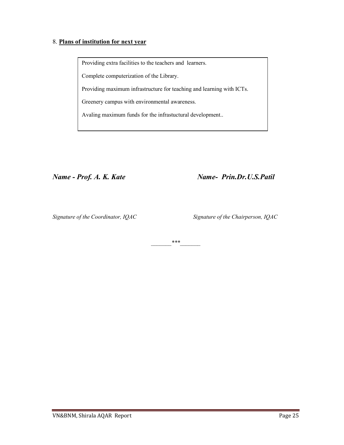#### 8. Plans of institution for next year

Providing extra facilities to the teachers and learners.

Complete computerization of the Library.

Providing maximum infrastructure for teaching and learning with ICTs.

Greenery campus with environmental awareness.

Avaling maximum funds for the infrastuctural development..

Name - Prof. A. K. Kate Name- Prin.Dr.U.S.Patil

Signature of the Coordinator, IQAC Signature of the Chairperson, IQAC

 $***$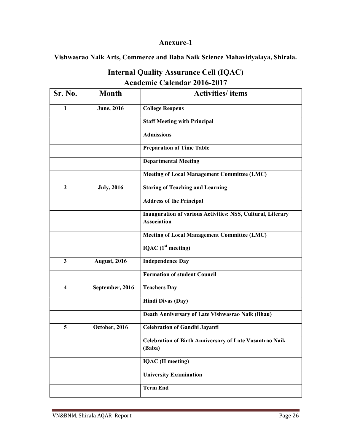### Anexure-1

Vishwasrao Naik Arts, Commerce and Baba Naik Science Mahavidyalaya, Shirala.

| Sr. No.                 | <b>Month</b>        | <b>Activities</b> / items                                                                |  |  |  |
|-------------------------|---------------------|------------------------------------------------------------------------------------------|--|--|--|
| 1                       | <b>June</b> , 2016  | <b>College Reopens</b>                                                                   |  |  |  |
|                         |                     | <b>Staff Meeting with Principal</b>                                                      |  |  |  |
|                         |                     | <b>Admissions</b>                                                                        |  |  |  |
|                         |                     | <b>Preparation of Time Table</b>                                                         |  |  |  |
|                         |                     | <b>Departmental Meeting</b>                                                              |  |  |  |
|                         |                     | <b>Meeting of Local Management Committee (LMC)</b>                                       |  |  |  |
| $\overline{2}$          | <b>July, 2016</b>   | <b>Staring of Teaching and Learning</b>                                                  |  |  |  |
|                         |                     | <b>Address of the Principal</b>                                                          |  |  |  |
|                         |                     | <b>Inauguration of various Activities: NSS, Cultural, Literary</b><br><b>Association</b> |  |  |  |
|                         |                     | <b>Meeting of Local Management Committee (LMC)</b>                                       |  |  |  |
|                         |                     | IQAC (1 <sup>st</sup> meeting)                                                           |  |  |  |
| $\overline{\mathbf{3}}$ | <b>August, 2016</b> | <b>Independence Day</b>                                                                  |  |  |  |
|                         |                     | <b>Formation of student Council</b>                                                      |  |  |  |
| $\overline{\mathbf{4}}$ | September, 2016     | <b>Teachers Day</b>                                                                      |  |  |  |
|                         |                     | <b>Hindi Divas (Day)</b>                                                                 |  |  |  |
|                         |                     | Death Anniversary of Late Vishwasrao Naik (Bhau)                                         |  |  |  |
| 5                       | October, 2016       | Celebration of Gandhi Jayanti                                                            |  |  |  |
|                         |                     | Celebration of Birth Anniversary of Late Vasantrao Naik<br>(Baba)                        |  |  |  |
|                         |                     | <b>IQAC</b> (II meeting)                                                                 |  |  |  |
|                         |                     | <b>University Examination</b>                                                            |  |  |  |
|                         |                     | <b>Term End</b>                                                                          |  |  |  |

## Internal Quality Assurance Cell (IQAC) Academic Calendar 2016-2017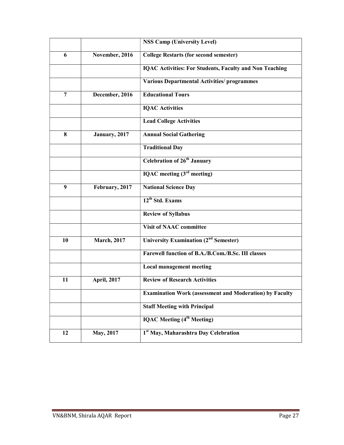|                |                     | <b>NSS Camp (University Level)</b>                             |  |  |  |
|----------------|---------------------|----------------------------------------------------------------|--|--|--|
| 6              | November, 2016      | <b>College Restarts (for second semester)</b>                  |  |  |  |
|                |                     | <b>IQAC Activities: For Students, Faculty and Non Teaching</b> |  |  |  |
|                |                     | <b>Various Departmental Activities/ programmes</b>             |  |  |  |
| $\overline{7}$ | December, 2016      | <b>Educational Tours</b>                                       |  |  |  |
|                |                     | <b>IQAC</b> Activities                                         |  |  |  |
|                |                     | <b>Lead College Activities</b>                                 |  |  |  |
| 8              | January, 2017       | <b>Annual Social Gathering</b>                                 |  |  |  |
|                |                     | <b>Traditional Day</b>                                         |  |  |  |
|                |                     | Celebration of 26 <sup>th</sup> January                        |  |  |  |
|                |                     | IQAC meeting $(3rd meeting)$                                   |  |  |  |
| 9              | February, 2017      | <b>National Science Day</b>                                    |  |  |  |
|                |                     | 12 <sup>th</sup> Std. Exams                                    |  |  |  |
|                |                     | <b>Review of Syllabus</b>                                      |  |  |  |
|                |                     | <b>Visit of NAAC committee</b>                                 |  |  |  |
| 10             | <b>March</b> , 2017 | University Examination (2 <sup>nd</sup> Semester)              |  |  |  |
|                |                     | Farewell function of B.A./B.Com./B.Sc. III classes             |  |  |  |
|                |                     | <b>Local management meeting</b>                                |  |  |  |
| 11             | <b>April, 2017</b>  | <b>Review of Research Activities</b>                           |  |  |  |
|                |                     | <b>Examination Work (assessment and Moderation) by Faculty</b> |  |  |  |
|                |                     | <b>Staff Meeting with Principal</b>                            |  |  |  |
|                |                     | <b>IQAC</b> Meeting (4 <sup>th</sup> Meeting)                  |  |  |  |
| 12             | May, 2017           | 1st May, Maharashtra Day Celebration                           |  |  |  |